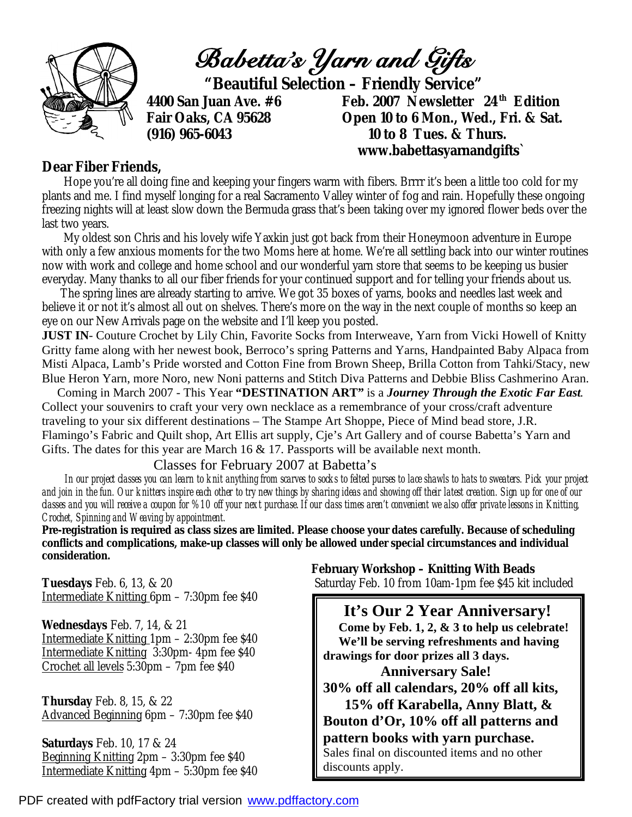

## **Dear Fiber Friends,**

Hope you're all doing fine and keeping your fingers warm with fibers. Brrrr it's been a little too cold for my plants and me. I find myself longing for a real Sacramento Valley winter of fog and rain. Hopefully these ongoing freezing nights will at least slow down the Bermuda grass that's been taking over my ignored flower beds over the last two years.

 My oldest son Chris and his lovely wife Yaxkin just got back from their Honeymoon adventure in Europe with only a few anxious moments for the two Moms here at home. We're all settling back into our winter routines now with work and college and home school and our wonderful yarn store that seems to be keeping us busier everyday. Many thanks to all our fiber friends for your continued support and for telling your friends about us.

 The spring lines are already starting to arrive. We got 35 boxes of yarns, books and needles last week and believe it or not it's almost all out on shelves. There's more on the way in the next couple of months so keep an eye on our New Arrivals page on the website and I'll keep you posted.

**JUST IN**- Couture Crochet by Lily Chin, Favorite Socks from Interweave, Yarn from Vicki Howell of Knitty Gritty fame along with her newest book, Berroco's spring Patterns and Yarns, Handpainted Baby Alpaca from Misti Alpaca, Lamb's Pride worsted and Cotton Fine from Brown Sheep, Brilla Cotton from Tahki/Stacy, new Blue Heron Yarn, more Noro, new Noni patterns and Stitch Diva Patterns and Debbie Bliss Cashmerino Aran.

 Coming in March 2007 - This Year **"DESTINATION ART"** is a *Journey Through the Exotic Far East.*  Collect your souvenirs to craft your very own necklace as a remembrance of your cross/craft adventure traveling to your six different destinations – The Stampe Art Shoppe, Piece of Mind bead store, J.R. Flamingo's Fabric and Quilt shop, Art Ellis art supply, Cje's Art Gallery and of course Babetta's Yarn and Gifts. The dates for this year are March 16  $& 17$ . Passports will be available next month.

Classes for February 2007 at Babetta's

 *In our project classes you can learn to knit anything from scarves to socks to felted purses to lace shawls to hats to sweaters. Pick your project and join in the fun. Our knitters inspire each other to try new things by sharing ideas and showing off their latest creation. Sign up for one of our classes and you will receive a coupon for %10 off your next purchase. If our class times aren't convenient we also offer private lessons in Knitting, Crochet, Spinning and Weaving by appointment.* 

**Pre-registration is required as class sizes are limited. Please choose your dates carefully. Because of scheduling conflicts and complications, make-up classes will only be allowed under special circumstances and individual consideration.** 

Intermediate Knitting 6pm – 7:30pm fee \$40

**Wednesdays** Feb. 7, 14, & 21 Intermediate Knitting 1pm – 2:30pm fee \$40 Intermediate Knitting 3:30pm- 4pm fee \$40 Crochet all levels 5:30pm – 7pm fee \$40

**Thursday** Feb. 8, 15, & 22 Advanced Beginning 6pm – 7:30pm fee \$40

**Saturdays** Feb. 10, 17 & 24 Beginning Knitting 2pm – 3:30pm fee \$40 Intermediate Knitting 4pm – 5:30pm fee \$40

 **February Workshop – Knitting With Beads Tuesdays** Feb. 6, 13, & 20 Saturday Feb. 10 from 10am-1pm fee \$45 kit included

> **It's Our 2 Year Anniversary! Come by Feb. 1, 2, & 3 to help us celebrate! We'll be serving refreshments and having drawings for door prizes all 3 days.**

 **Anniversary Sale! 30% off all calendars, 20% off all kits, 15% off Karabella, Anny Blatt, & Bouton d'Or, 10% off all patterns and pattern books with yarn purchase.**  Sales final on discounted items and no other discounts apply.